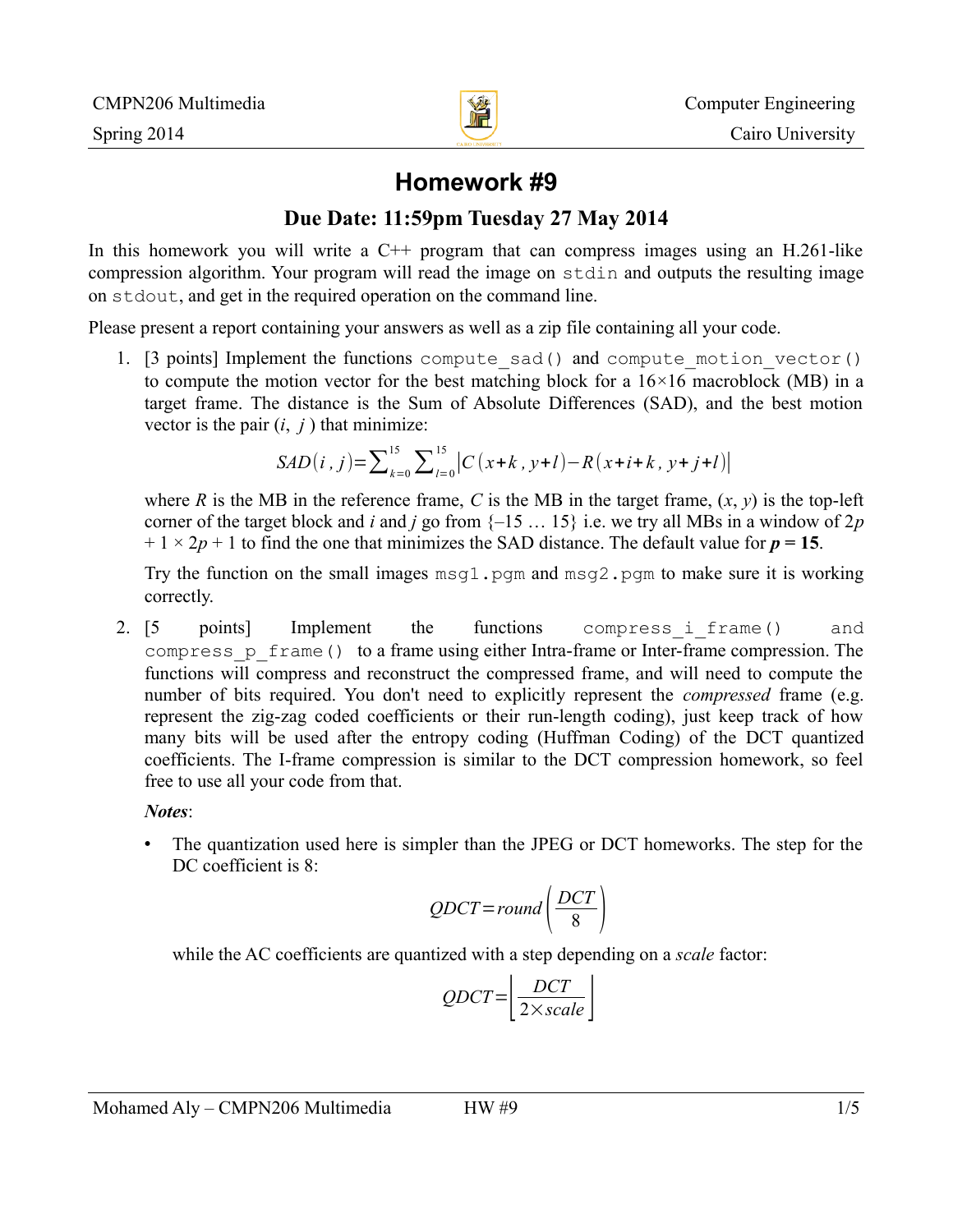

# **Homework #9**

### **Due Date: 11:59pm Tuesday 27 May 2014**

In this homework you will write a  $C^{++}$  program that can compress images using an H.261-like compression algorithm. Your program will read the image on stdin and outputs the resulting image on stdout, and get in the required operation on the command line.

Please present a report containing your answers as well as a zip file containing all your code.

1. [3 points] Implement the functions compute\_sad() and compute\_motion\_vector() to compute the motion vector for the best matching block for a  $16\times16$  macroblock (MB) in a target frame. The distance is the Sum of Absolute Differences (SAD), and the best motion vector is the pair  $(i, j)$  that minimize:

$$
SAD(i, j) = \sum_{k=0}^{15} \sum_{l=0}^{15} |C(x+k, y+l) - R(x+i+k, y+j+l)|
$$

where *R* is the MB in the reference frame, *C* is the MB in the target frame,  $(x, y)$  is the top-left corner of the target block and *i* and *j* go from  $\{-15 \dots 15\}$  i.e. we try all MBs in a window of  $2p$  $+ 1 \times 2p + 1$  to find the one that minimizes the SAD distance. The default value for  $p = 15$ .

Try the function on the small images  $msq1$ . pqm and  $msq2$ . pqm to make sure it is working correctly.

2. [5 points] Implement the functions compress i frame() and compress\_p\_frame() to a frame using either Intra-frame or Inter-frame compression. The functions will compress and reconstruct the compressed frame, and will need to compute the number of bits required. You don't need to explicitly represent the *compressed* frame (e.g. represent the zig-zag coded coefficients or their run-length coding), just keep track of how many bits will be used after the entropy coding (Huffman Coding) of the DCT quantized coefficients. The I-frame compression is similar to the DCT compression homework, so feel free to use all your code from that.

*Notes*:

• The quantization used here is simpler than the JPEG or DCT homeworks. The step for the DC coefficient is 8:

$$
QDCT = round\left(\frac{DCT}{8}\right)
$$

while the AC coefficients are quantized with a step depending on a *scale* factor:

$$
QDCT = \left| \frac{DCT}{2 \times scale} \right|
$$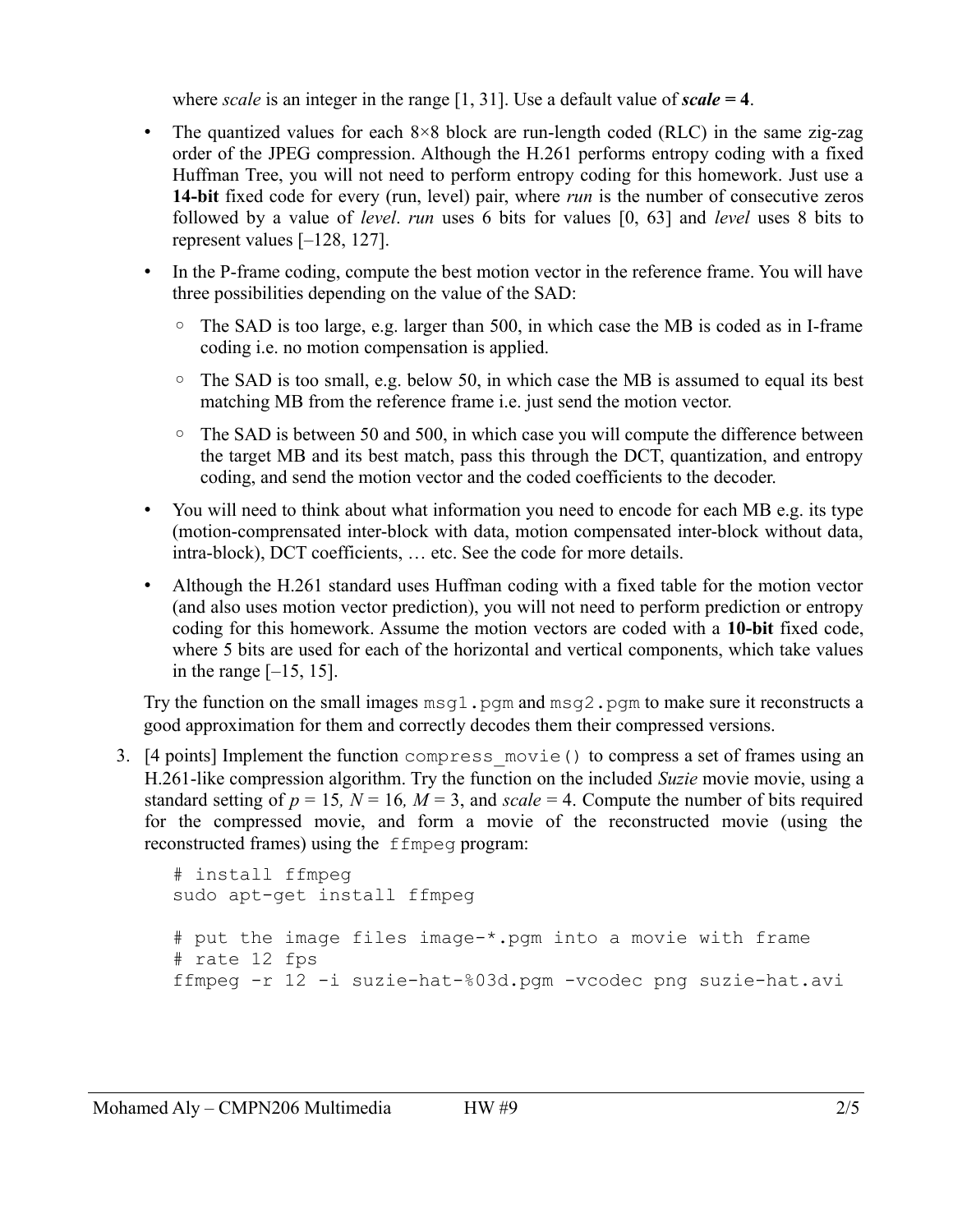where *scale* is an integer in the range [1, 31]. Use a default value of *scale =* **4**.

- The quantized values for each  $8\times8$  block are run-length coded (RLC) in the same zig-zag order of the JPEG compression. Although the H.261 performs entropy coding with a fixed Huffman Tree, you will not need to perform entropy coding for this homework. Just use a **14-bit** fixed code for every (run, level) pair, where *run* is the number of consecutive zeros followed by a value of *level*. *run* uses 6 bits for values [0, 63] and *level* uses 8 bits to represent values [–128, 127].
- In the P-frame coding, compute the best motion vector in the reference frame. You will have three possibilities depending on the value of the SAD:
	- The SAD is too large, e.g. larger than 500, in which case the MB is coded as in I-frame coding i.e. no motion compensation is applied.
	- The SAD is too small, e.g. below 50, in which case the MB is assumed to equal its best matching MB from the reference frame i.e. just send the motion vector.
	- The SAD is between 50 and 500, in which case you will compute the difference between the target MB and its best match, pass this through the DCT, quantization, and entropy coding, and send the motion vector and the coded coefficients to the decoder.
- You will need to think about what information you need to encode for each MB e.g. its type (motion-comprensated inter-block with data, motion compensated inter-block without data, intra-block), DCT coefficients, … etc. See the code for more details.
- Although the H.261 standard uses Huffman coding with a fixed table for the motion vector (and also uses motion vector prediction), you will not need to perform prediction or entropy coding for this homework. Assume the motion vectors are coded with a **10-bit** fixed code, where 5 bits are used for each of the horizontal and vertical components, which take values in the range  $[-15, 15]$ .

Try the function on the small images  $msq1$ . pgm and  $msq2$ . pgm to make sure it reconstructs a good approximation for them and correctly decodes them their compressed versions.

3. [4 points] Implement the function compress\_movie() to compress a set of frames using an H.261-like compression algorithm. Try the function on the included *Suzie* movie movie, using a standard setting of  $p = 15$ ,  $N = 16$ ,  $M = 3$ , and *scale* = 4. Compute the number of bits required for the compressed movie, and form a movie of the reconstructed movie (using the reconstructed frames) using the ffmpeg program:

```
# install ffmpeg
sudo apt-get install ffmpeg
# put the image files image-*.pgm into a movie with frame
# rate 12 fps
ffmpeg -r 12 -i suzie-hat-%03d.pgm -vcodec png suzie-hat.avi
```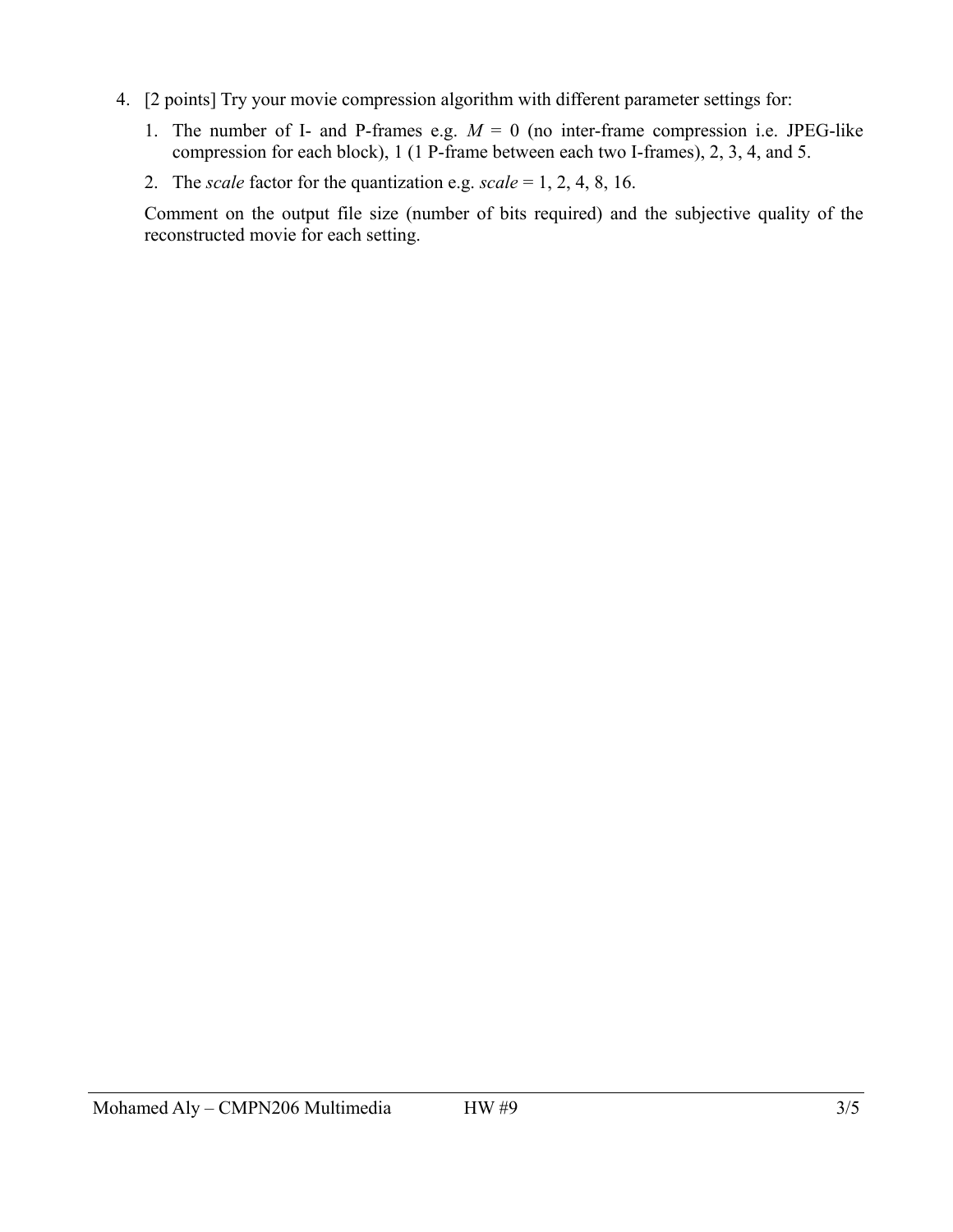- 4. [2 points] Try your movie compression algorithm with different parameter settings for:
	- 1. The number of I- and P-frames e.g.  $M = 0$  (no inter-frame compression i.e. JPEG-like compression for each block), 1 (1 P-frame between each two I-frames), 2, 3, 4, and 5.
	- 2. The *scale* factor for the quantization e.g. *scale* = 1, 2, 4, 8, 16.

Comment on the output file size (number of bits required) and the subjective quality of the reconstructed movie for each setting.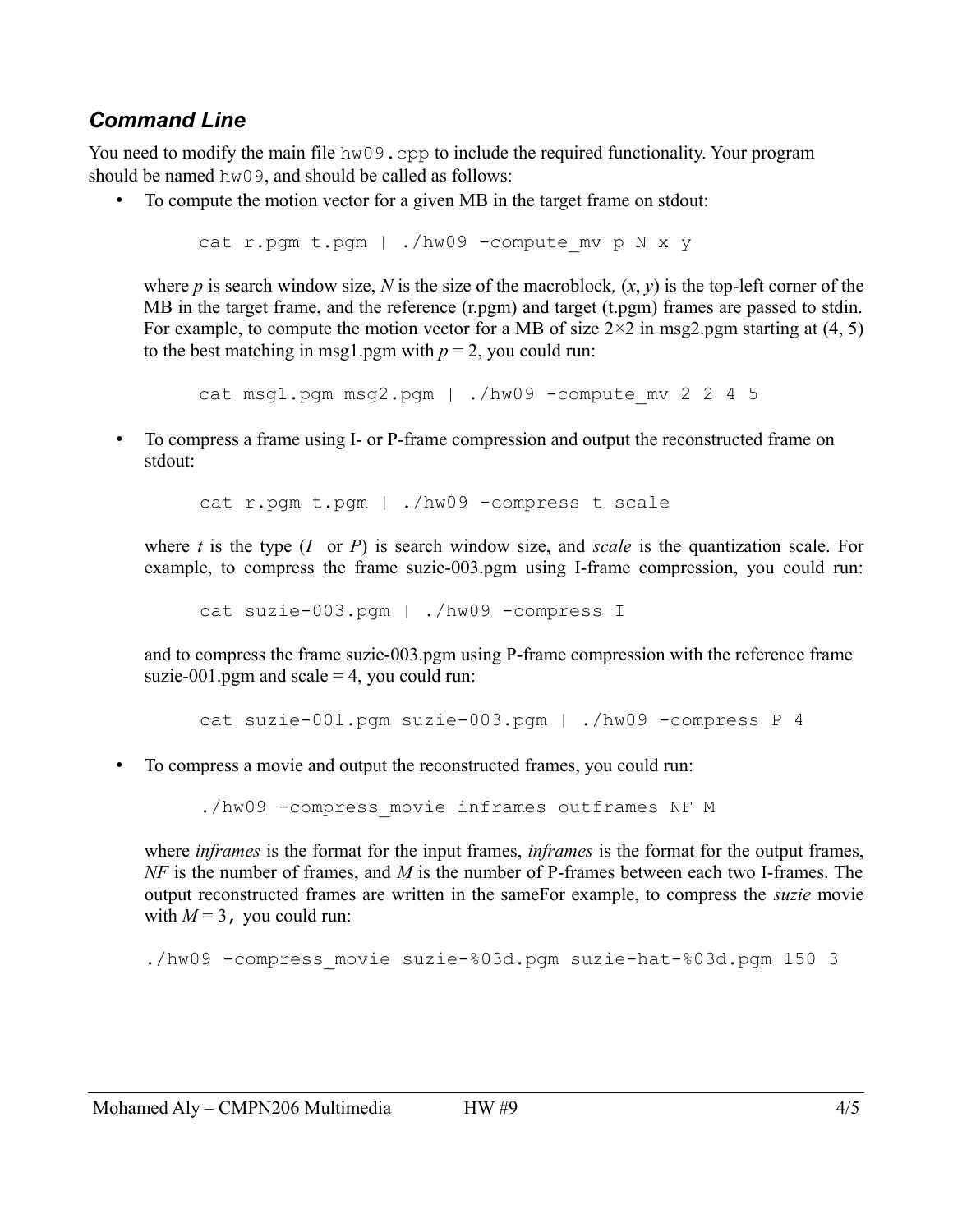## *Command Line*

You need to modify the main file hw09.cpp to include the required functionality. Your program should be named hw09, and should be called as follows:

• To compute the motion vector for a given MB in the target frame on stdout:

```
cat r.pgm t.pgm | ./hw09 -compute mv p N x y
```
where *p* is search window size, *N* is the size of the macroblock,  $(x, y)$  is the top-left corner of the MB in the target frame, and the reference (r.pgm) and target (t.pgm) frames are passed to stdin. For example, to compute the motion vector for a MB of size  $2\times 2$  in msg2.pgm starting at (4, 5) to the best matching in msg1.pgm with  $p = 2$ , you could run:

```
cat msq1.pqm msg2.pqm | ./hw09 -compute mv 2 2 4 5
```
• To compress a frame using I- or P-frame compression and output the reconstructed frame on stdout:

cat r.pgm t.pgm | ./hw09 -compress t scale

where *t* is the type (*I* or *P*) is search window size, and *scale* is the quantization scale. For example, to compress the frame suzie-003.pgm using I-frame compression, you could run:

cat suzie-003.pgm | ./hw09 -compress I

and to compress the frame suzie-003.pgm using P-frame compression with the reference frame suzie-001.pgm and scale  $=$  4, you could run:

```
cat suzie-001.pgm suzie-003.pgm | ./hw09 -compress P 4
```
• To compress a movie and output the reconstructed frames, you could run:

./hw09 -compress movie inframes outframes NF M

where *inframes* is the format for the input frames, *inframes* is the format for the output frames, *NF* is the number of frames, and *M* is the number of P-frames between each two I-frames. The output reconstructed frames are written in the sameFor example, to compress the *suzie* movie with  $M = 3$ , you could run:

./hw09 -compress\_movie suzie-%03d.pgm suzie-hat-%03d.pgm 150 3